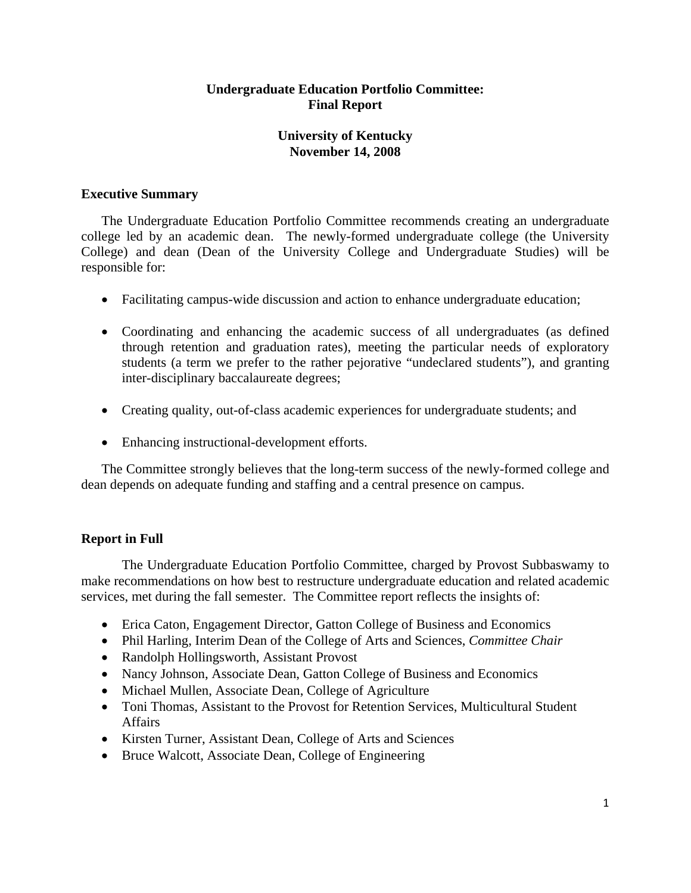# **Undergraduate Education Portfolio Committee: Final Report**

# **University of Kentucky November 14, 2008**

# **Executive Summary**

The Undergraduate Education Portfolio Committee recommends creating an undergraduate college led by an academic dean. The newly-formed undergraduate college (the University College) and dean (Dean of the University College and Undergraduate Studies) will be responsible for:

- Facilitating campus-wide discussion and action to enhance undergraduate education;
- Coordinating and enhancing the academic success of all undergraduates (as defined through retention and graduation rates), meeting the particular needs of exploratory students (a term we prefer to the rather pejorative "undeclared students"), and granting inter-disciplinary baccalaureate degrees;
- Creating quality, out-of-class academic experiences for undergraduate students; and
- Enhancing instructional-development efforts.

The Committee strongly believes that the long-term success of the newly-formed college and dean depends on adequate funding and staffing and a central presence on campus.

# **Report in Full**

The Undergraduate Education Portfolio Committee, charged by Provost Subbaswamy to make recommendations on how best to restructure undergraduate education and related academic services, met during the fall semester. The Committee report reflects the insights of:

- Erica Caton, Engagement Director, Gatton College of Business and Economics
- Phil Harling, Interim Dean of the College of Arts and Sciences, *Committee Chair*
- Randolph Hollingsworth, Assistant Provost
- Nancy Johnson, Associate Dean, Gatton College of Business and Economics
- Michael Mullen, Associate Dean, College of Agriculture
- Toni Thomas, Assistant to the Provost for Retention Services, Multicultural Student **Affairs**
- Kirsten Turner, Assistant Dean, College of Arts and Sciences
- Bruce Walcott, Associate Dean, College of Engineering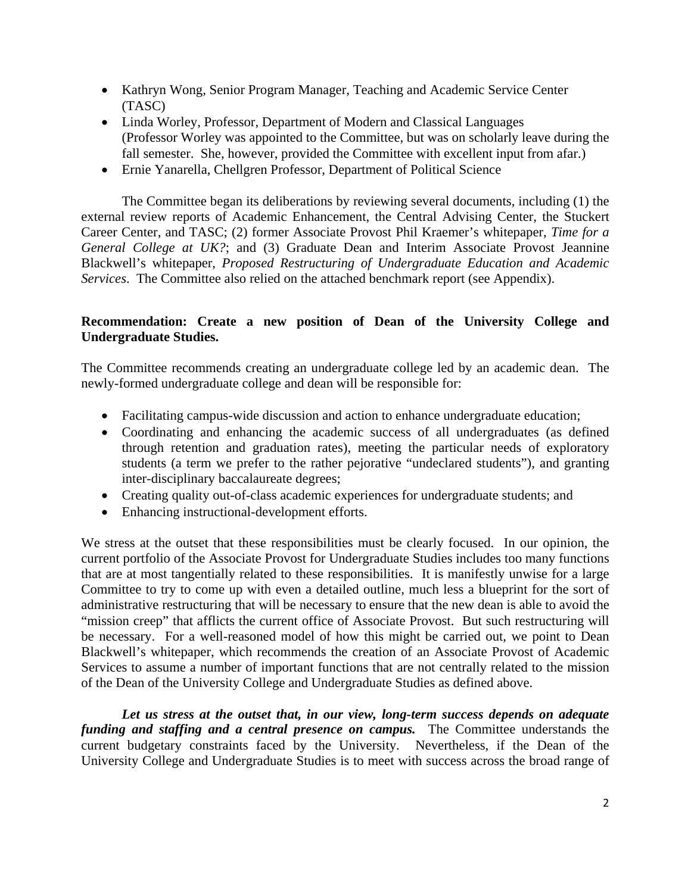- Kathryn Wong, Senior Program Manager, Teaching and Academic Service Center (TASC)
- Linda Worley, Professor, Department of Modern and Classical Languages (Professor Worley was appointed to the Committee, but was on scholarly leave during the fall semester. She, however, provided the Committee with excellent input from afar.)
- Ernie Yanarella, Chellgren Professor, Department of Political Science

The Committee began its deliberations by reviewing several documents, including (1) the external review reports of Academic Enhancement, the Central Advising Center, the Stuckert Career Center, and TASC; (2) former Associate Provost Phil Kraemer's whitepaper, *Time for a General College at UK?*; and (3) Graduate Dean and Interim Associate Provost Jeannine Blackwell's whitepaper, *Proposed Restructuring of Undergraduate Education and Academic Services*. The Committee also relied on the attached benchmark report (see Appendix).

# **Recommendation: Create a new position of Dean of the University College and Undergraduate Studies.**

The Committee recommends creating an undergraduate college led by an academic dean. The newly-formed undergraduate college and dean will be responsible for:

- Facilitating campus-wide discussion and action to enhance undergraduate education;
- Coordinating and enhancing the academic success of all undergraduates (as defined through retention and graduation rates), meeting the particular needs of exploratory students (a term we prefer to the rather pejorative "undeclared students"), and granting inter-disciplinary baccalaureate degrees;
- Creating quality out-of-class academic experiences for undergraduate students; and
- Enhancing instructional-development efforts.

We stress at the outset that these responsibilities must be clearly focused. In our opinion, the current portfolio of the Associate Provost for Undergraduate Studies includes too many functions that are at most tangentially related to these responsibilities. It is manifestly unwise for a large Committee to try to come up with even a detailed outline, much less a blueprint for the sort of administrative restructuring that will be necessary to ensure that the new dean is able to avoid the "mission creep" that afflicts the current office of Associate Provost. But such restructuring will be necessary. For a well-reasoned model of how this might be carried out, we point to Dean Blackwell's whitepaper, which recommends the creation of an Associate Provost of Academic Services to assume a number of important functions that are not centrally related to the mission of the Dean of the University College and Undergraduate Studies as defined above.

*Let us stress at the outset that, in our view, long-term success depends on adequate funding and staffing and a central presence on campus.* The Committee understands the current budgetary constraints faced by the University. Nevertheless, if the Dean of the University College and Undergraduate Studies is to meet with success across the broad range of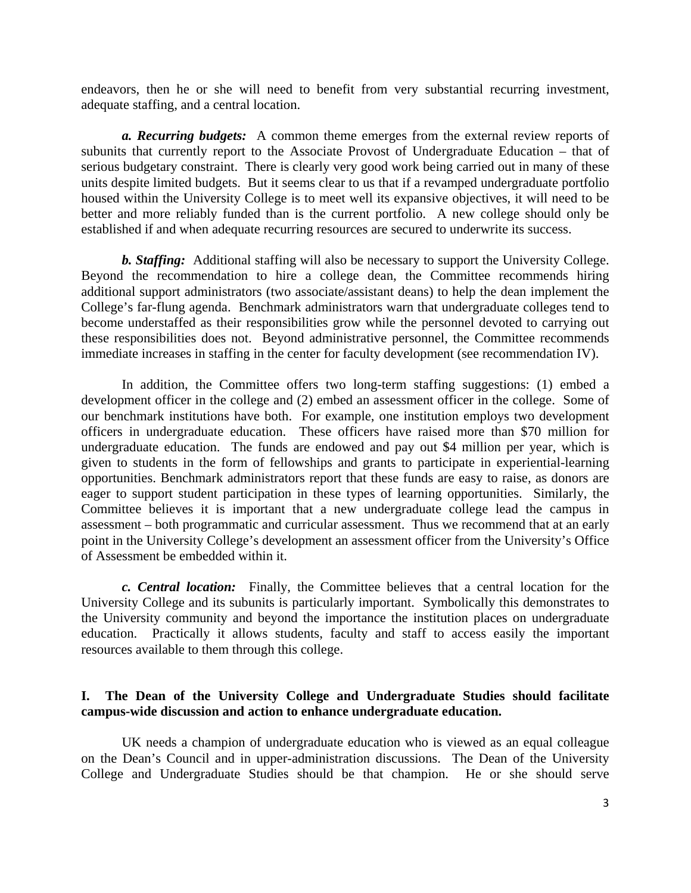endeavors, then he or she will need to benefit from very substantial recurring investment, adequate staffing, and a central location.

*a. Recurring budgets:* A common theme emerges from the external review reports of subunits that currently report to the Associate Provost of Undergraduate Education – that of serious budgetary constraint. There is clearly very good work being carried out in many of these units despite limited budgets. But it seems clear to us that if a revamped undergraduate portfolio housed within the University College is to meet well its expansive objectives, it will need to be better and more reliably funded than is the current portfolio. A new college should only be established if and when adequate recurring resources are secured to underwrite its success.

*b. Staffing:* Additional staffing will also be necessary to support the University College. Beyond the recommendation to hire a college dean, the Committee recommends hiring additional support administrators (two associate/assistant deans) to help the dean implement the College's far-flung agenda. Benchmark administrators warn that undergraduate colleges tend to become understaffed as their responsibilities grow while the personnel devoted to carrying out these responsibilities does not. Beyond administrative personnel, the Committee recommends immediate increases in staffing in the center for faculty development (see recommendation IV).

In addition, the Committee offers two long-term staffing suggestions: (1) embed a development officer in the college and (2) embed an assessment officer in the college. Some of our benchmark institutions have both. For example, one institution employs two development officers in undergraduate education. These officers have raised more than \$70 million for undergraduate education. The funds are endowed and pay out \$4 million per year, which is given to students in the form of fellowships and grants to participate in experiential-learning opportunities. Benchmark administrators report that these funds are easy to raise, as donors are eager to support student participation in these types of learning opportunities. Similarly, the Committee believes it is important that a new undergraduate college lead the campus in assessment – both programmatic and curricular assessment. Thus we recommend that at an early point in the University College's development an assessment officer from the University's Office of Assessment be embedded within it.

*c. Central location:* Finally, the Committee believes that a central location for the University College and its subunits is particularly important. Symbolically this demonstrates to the University community and beyond the importance the institution places on undergraduate education. Practically it allows students, faculty and staff to access easily the important resources available to them through this college.

# **I. The Dean of the University College and Undergraduate Studies should facilitate campus-wide discussion and action to enhance undergraduate education.**

UK needs a champion of undergraduate education who is viewed as an equal colleague on the Dean's Council and in upper-administration discussions. The Dean of the University College and Undergraduate Studies should be that champion. He or she should serve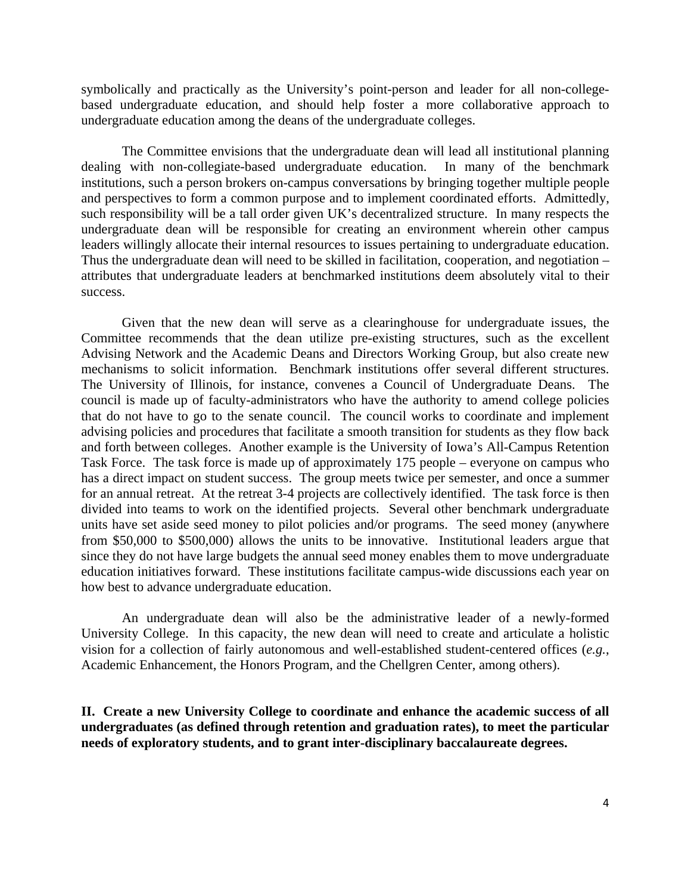symbolically and practically as the University's point-person and leader for all non-collegebased undergraduate education, and should help foster a more collaborative approach to undergraduate education among the deans of the undergraduate colleges.

The Committee envisions that the undergraduate dean will lead all institutional planning dealing with non-collegiate-based undergraduate education. In many of the benchmark institutions, such a person brokers on-campus conversations by bringing together multiple people and perspectives to form a common purpose and to implement coordinated efforts. Admittedly, such responsibility will be a tall order given UK's decentralized structure. In many respects the undergraduate dean will be responsible for creating an environment wherein other campus leaders willingly allocate their internal resources to issues pertaining to undergraduate education. Thus the undergraduate dean will need to be skilled in facilitation, cooperation, and negotiation – attributes that undergraduate leaders at benchmarked institutions deem absolutely vital to their success.

Given that the new dean will serve as a clearinghouse for undergraduate issues, the Committee recommends that the dean utilize pre-existing structures, such as the excellent Advising Network and the Academic Deans and Directors Working Group, but also create new mechanisms to solicit information. Benchmark institutions offer several different structures. The University of Illinois, for instance, convenes a Council of Undergraduate Deans. The council is made up of faculty-administrators who have the authority to amend college policies that do not have to go to the senate council. The council works to coordinate and implement advising policies and procedures that facilitate a smooth transition for students as they flow back and forth between colleges. Another example is the University of Iowa's All-Campus Retention Task Force. The task force is made up of approximately 175 people – everyone on campus who has a direct impact on student success. The group meets twice per semester, and once a summer for an annual retreat. At the retreat 3-4 projects are collectively identified. The task force is then divided into teams to work on the identified projects. Several other benchmark undergraduate units have set aside seed money to pilot policies and/or programs. The seed money (anywhere from \$50,000 to \$500,000) allows the units to be innovative. Institutional leaders argue that since they do not have large budgets the annual seed money enables them to move undergraduate education initiatives forward. These institutions facilitate campus-wide discussions each year on how best to advance undergraduate education.

An undergraduate dean will also be the administrative leader of a newly-formed University College. In this capacity, the new dean will need to create and articulate a holistic vision for a collection of fairly autonomous and well-established student-centered offices (*e.g.*, Academic Enhancement, the Honors Program, and the Chellgren Center, among others).

**II. Create a new University College to coordinate and enhance the academic success of all undergraduates (as defined through retention and graduation rates), to meet the particular needs of exploratory students, and to grant inter-disciplinary baccalaureate degrees.**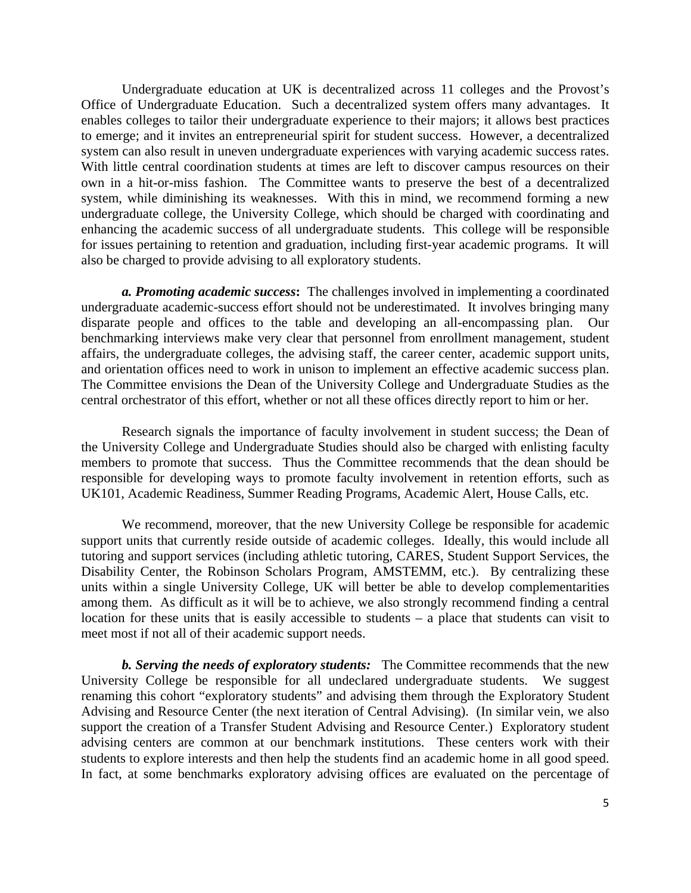Undergraduate education at UK is decentralized across 11 colleges and the Provost's Office of Undergraduate Education. Such a decentralized system offers many advantages. It enables colleges to tailor their undergraduate experience to their majors; it allows best practices to emerge; and it invites an entrepreneurial spirit for student success. However, a decentralized system can also result in uneven undergraduate experiences with varying academic success rates. With little central coordination students at times are left to discover campus resources on their own in a hit-or-miss fashion. The Committee wants to preserve the best of a decentralized system, while diminishing its weaknesses. With this in mind, we recommend forming a new undergraduate college, the University College, which should be charged with coordinating and enhancing the academic success of all undergraduate students. This college will be responsible for issues pertaining to retention and graduation, including first-year academic programs. It will also be charged to provide advising to all exploratory students.

*a. Promoting academic success***:** The challenges involved in implementing a coordinated undergraduate academic-success effort should not be underestimated. It involves bringing many disparate people and offices to the table and developing an all-encompassing plan. Our benchmarking interviews make very clear that personnel from enrollment management, student affairs, the undergraduate colleges, the advising staff, the career center, academic support units, and orientation offices need to work in unison to implement an effective academic success plan. The Committee envisions the Dean of the University College and Undergraduate Studies as the central orchestrator of this effort, whether or not all these offices directly report to him or her.

Research signals the importance of faculty involvement in student success; the Dean of the University College and Undergraduate Studies should also be charged with enlisting faculty members to promote that success. Thus the Committee recommends that the dean should be responsible for developing ways to promote faculty involvement in retention efforts, such as UK101, Academic Readiness, Summer Reading Programs, Academic Alert, House Calls, etc.

We recommend, moreover, that the new University College be responsible for academic support units that currently reside outside of academic colleges. Ideally, this would include all tutoring and support services (including athletic tutoring, CARES, Student Support Services, the Disability Center, the Robinson Scholars Program, AMSTEMM, etc.). By centralizing these units within a single University College, UK will better be able to develop complementarities among them. As difficult as it will be to achieve, we also strongly recommend finding a central location for these units that is easily accessible to students – a place that students can visit to meet most if not all of their academic support needs.

*b. Serving the needs of exploratory students:* The Committee recommends that the new University College be responsible for all undeclared undergraduate students. We suggest renaming this cohort "exploratory students" and advising them through the Exploratory Student Advising and Resource Center (the next iteration of Central Advising). (In similar vein, we also support the creation of a Transfer Student Advising and Resource Center.) Exploratory student advising centers are common at our benchmark institutions. These centers work with their students to explore interests and then help the students find an academic home in all good speed. In fact, at some benchmarks exploratory advising offices are evaluated on the percentage of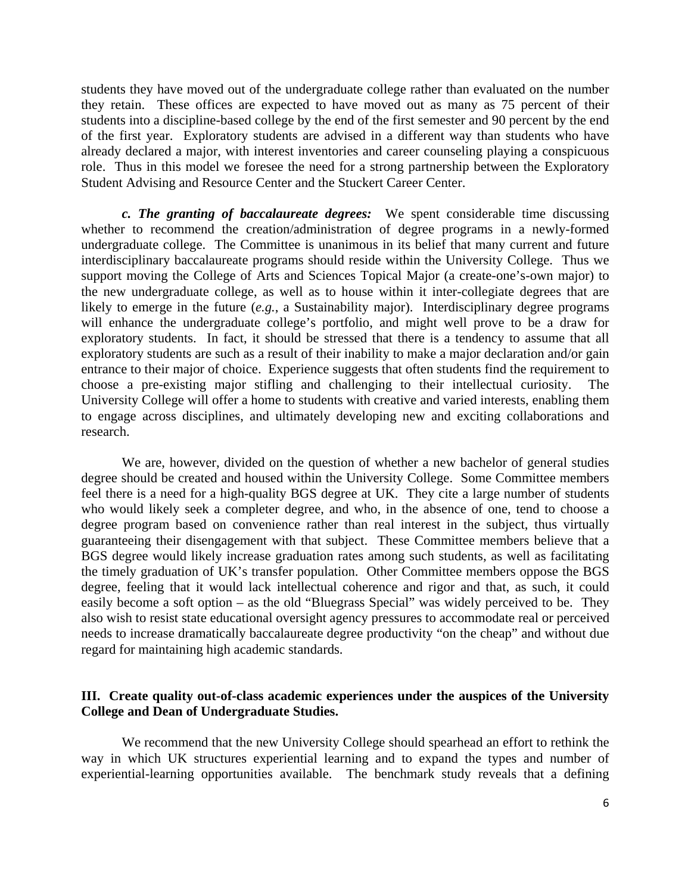students they have moved out of the undergraduate college rather than evaluated on the number they retain. These offices are expected to have moved out as many as 75 percent of their students into a discipline-based college by the end of the first semester and 90 percent by the end of the first year. Exploratory students are advised in a different way than students who have already declared a major, with interest inventories and career counseling playing a conspicuous role. Thus in this model we foresee the need for a strong partnership between the Exploratory Student Advising and Resource Center and the Stuckert Career Center.

*c. The granting of baccalaureate degrees:* We spent considerable time discussing whether to recommend the creation/administration of degree programs in a newly-formed undergraduate college. The Committee is unanimous in its belief that many current and future interdisciplinary baccalaureate programs should reside within the University College. Thus we support moving the College of Arts and Sciences Topical Major (a create-one's-own major) to the new undergraduate college, as well as to house within it inter-collegiate degrees that are likely to emerge in the future (*e.g.*, a Sustainability major). Interdisciplinary degree programs will enhance the undergraduate college's portfolio, and might well prove to be a draw for exploratory students. In fact, it should be stressed that there is a tendency to assume that all exploratory students are such as a result of their inability to make a major declaration and/or gain entrance to their major of choice. Experience suggests that often students find the requirement to choose a pre-existing major stifling and challenging to their intellectual curiosity. The University College will offer a home to students with creative and varied interests, enabling them to engage across disciplines, and ultimately developing new and exciting collaborations and research.

We are, however, divided on the question of whether a new bachelor of general studies degree should be created and housed within the University College. Some Committee members feel there is a need for a high-quality BGS degree at UK. They cite a large number of students who would likely seek a completer degree, and who, in the absence of one, tend to choose a degree program based on convenience rather than real interest in the subject, thus virtually guaranteeing their disengagement with that subject. These Committee members believe that a BGS degree would likely increase graduation rates among such students, as well as facilitating the timely graduation of UK's transfer population. Other Committee members oppose the BGS degree, feeling that it would lack intellectual coherence and rigor and that, as such, it could easily become a soft option – as the old "Bluegrass Special" was widely perceived to be. They also wish to resist state educational oversight agency pressures to accommodate real or perceived needs to increase dramatically baccalaureate degree productivity "on the cheap" and without due regard for maintaining high academic standards.

# **III. Create quality out-of-class academic experiences under the auspices of the University College and Dean of Undergraduate Studies.**

We recommend that the new University College should spearhead an effort to rethink the way in which UK structures experiential learning and to expand the types and number of experiential-learning opportunities available. The benchmark study reveals that a defining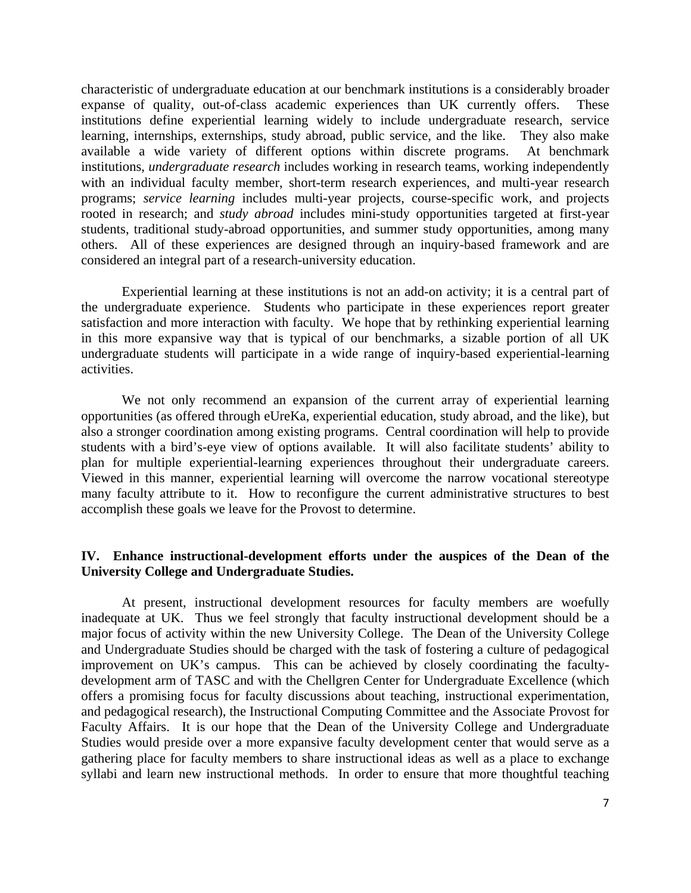characteristic of undergraduate education at our benchmark institutions is a considerably broader expanse of quality, out-of-class academic experiences than UK currently offers. These institutions define experiential learning widely to include undergraduate research, service learning, internships, externships, study abroad, public service, and the like. They also make available a wide variety of different options within discrete programs. At benchmark institutions, *undergraduate research* includes working in research teams, working independently with an individual faculty member, short-term research experiences, and multi-year research programs; *service learning* includes multi-year projects, course-specific work, and projects rooted in research; and *study abroad* includes mini-study opportunities targeted at first-year students, traditional study-abroad opportunities, and summer study opportunities, among many others. All of these experiences are designed through an inquiry-based framework and are considered an integral part of a research-university education.

Experiential learning at these institutions is not an add-on activity; it is a central part of the undergraduate experience. Students who participate in these experiences report greater satisfaction and more interaction with faculty. We hope that by rethinking experiential learning in this more expansive way that is typical of our benchmarks, a sizable portion of all UK undergraduate students will participate in a wide range of inquiry-based experiential-learning activities.

We not only recommend an expansion of the current array of experiential learning opportunities (as offered through eUreKa, experiential education, study abroad, and the like), but also a stronger coordination among existing programs. Central coordination will help to provide students with a bird's-eye view of options available. It will also facilitate students' ability to plan for multiple experiential-learning experiences throughout their undergraduate careers. Viewed in this manner, experiential learning will overcome the narrow vocational stereotype many faculty attribute to it. How to reconfigure the current administrative structures to best accomplish these goals we leave for the Provost to determine.

### **IV. Enhance instructional-development efforts under the auspices of the Dean of the University College and Undergraduate Studies.**

At present, instructional development resources for faculty members are woefully inadequate at UK. Thus we feel strongly that faculty instructional development should be a major focus of activity within the new University College. The Dean of the University College and Undergraduate Studies should be charged with the task of fostering a culture of pedagogical improvement on UK's campus. This can be achieved by closely coordinating the facultydevelopment arm of TASC and with the Chellgren Center for Undergraduate Excellence (which offers a promising focus for faculty discussions about teaching, instructional experimentation, and pedagogical research), the Instructional Computing Committee and the Associate Provost for Faculty Affairs. It is our hope that the Dean of the University College and Undergraduate Studies would preside over a more expansive faculty development center that would serve as a gathering place for faculty members to share instructional ideas as well as a place to exchange syllabi and learn new instructional methods. In order to ensure that more thoughtful teaching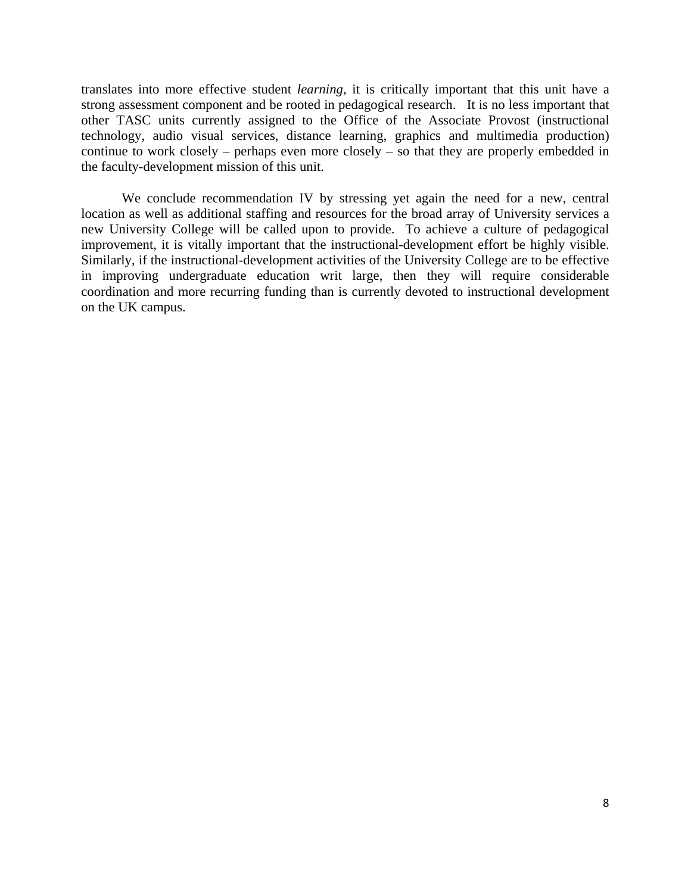translates into more effective student *learning*, it is critically important that this unit have a strong assessment component and be rooted in pedagogical research. It is no less important that other TASC units currently assigned to the Office of the Associate Provost (instructional technology, audio visual services, distance learning, graphics and multimedia production) continue to work closely – perhaps even more closely – so that they are properly embedded in the faculty-development mission of this unit.

We conclude recommendation IV by stressing yet again the need for a new, central location as well as additional staffing and resources for the broad array of University services a new University College will be called upon to provide. To achieve a culture of pedagogical improvement, it is vitally important that the instructional-development effort be highly visible. Similarly, if the instructional-development activities of the University College are to be effective in improving undergraduate education writ large, then they will require considerable coordination and more recurring funding than is currently devoted to instructional development on the UK campus.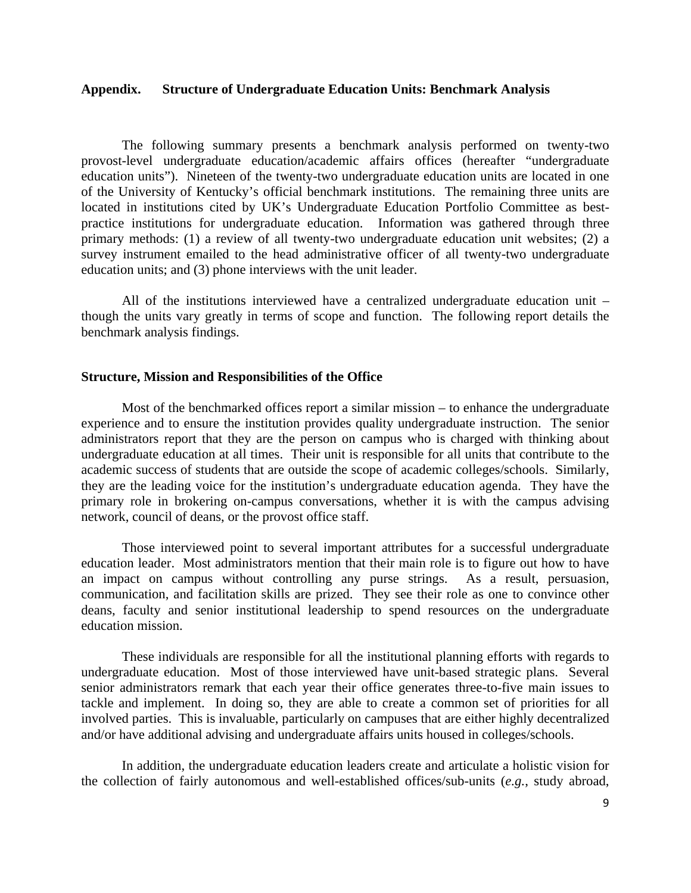### **Appendix. Structure of Undergraduate Education Units: Benchmark Analysis**

The following summary presents a benchmark analysis performed on twenty-two provost-level undergraduate education/academic affairs offices (hereafter "undergraduate education units"). Nineteen of the twenty-two undergraduate education units are located in one of the University of Kentucky's official benchmark institutions. The remaining three units are located in institutions cited by UK's Undergraduate Education Portfolio Committee as bestpractice institutions for undergraduate education. Information was gathered through three primary methods: (1) a review of all twenty-two undergraduate education unit websites; (2) a survey instrument emailed to the head administrative officer of all twenty-two undergraduate education units; and (3) phone interviews with the unit leader.

All of the institutions interviewed have a centralized undergraduate education unit – though the units vary greatly in terms of scope and function. The following report details the benchmark analysis findings.

### **Structure, Mission and Responsibilities of the Office**

Most of the benchmarked offices report a similar mission – to enhance the undergraduate experience and to ensure the institution provides quality undergraduate instruction. The senior administrators report that they are the person on campus who is charged with thinking about undergraduate education at all times. Their unit is responsible for all units that contribute to the academic success of students that are outside the scope of academic colleges/schools. Similarly, they are the leading voice for the institution's undergraduate education agenda. They have the primary role in brokering on-campus conversations, whether it is with the campus advising network, council of deans, or the provost office staff.

Those interviewed point to several important attributes for a successful undergraduate education leader. Most administrators mention that their main role is to figure out how to have an impact on campus without controlling any purse strings. As a result, persuasion, communication, and facilitation skills are prized. They see their role as one to convince other deans, faculty and senior institutional leadership to spend resources on the undergraduate education mission.

These individuals are responsible for all the institutional planning efforts with regards to undergraduate education. Most of those interviewed have unit-based strategic plans. Several senior administrators remark that each year their office generates three-to-five main issues to tackle and implement. In doing so, they are able to create a common set of priorities for all involved parties. This is invaluable, particularly on campuses that are either highly decentralized and/or have additional advising and undergraduate affairs units housed in colleges/schools.

In addition, the undergraduate education leaders create and articulate a holistic vision for the collection of fairly autonomous and well-established offices/sub-units (*e.g.*, study abroad,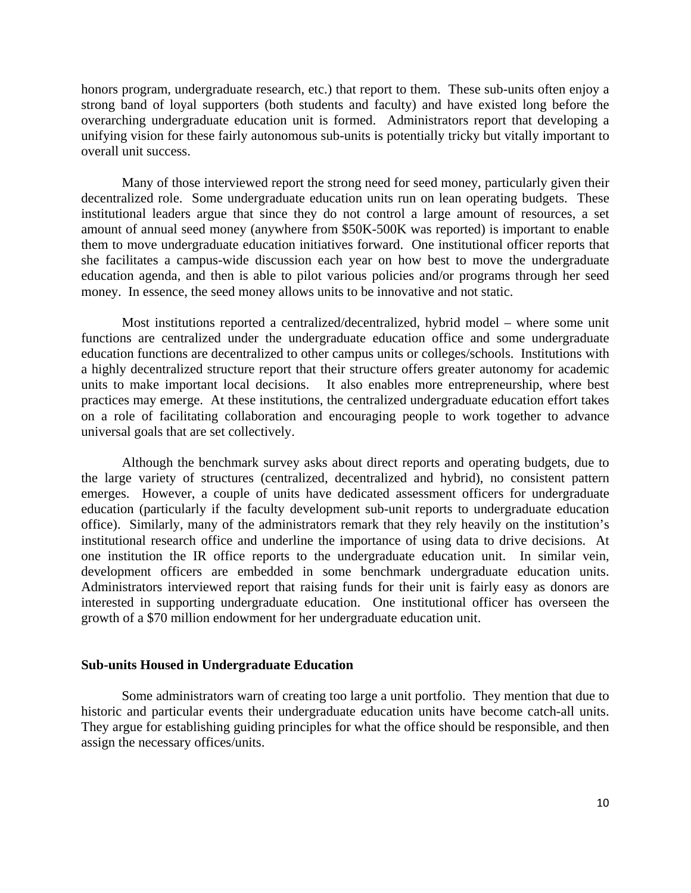honors program, undergraduate research, etc.) that report to them. These sub-units often enjoy a strong band of loyal supporters (both students and faculty) and have existed long before the overarching undergraduate education unit is formed. Administrators report that developing a unifying vision for these fairly autonomous sub-units is potentially tricky but vitally important to overall unit success.

Many of those interviewed report the strong need for seed money, particularly given their decentralized role. Some undergraduate education units run on lean operating budgets. These institutional leaders argue that since they do not control a large amount of resources, a set amount of annual seed money (anywhere from \$50K-500K was reported) is important to enable them to move undergraduate education initiatives forward. One institutional officer reports that she facilitates a campus-wide discussion each year on how best to move the undergraduate education agenda, and then is able to pilot various policies and/or programs through her seed money. In essence, the seed money allows units to be innovative and not static.

Most institutions reported a centralized/decentralized, hybrid model – where some unit functions are centralized under the undergraduate education office and some undergraduate education functions are decentralized to other campus units or colleges/schools. Institutions with a highly decentralized structure report that their structure offers greater autonomy for academic units to make important local decisions. It also enables more entrepreneurship, where best practices may emerge. At these institutions, the centralized undergraduate education effort takes on a role of facilitating collaboration and encouraging people to work together to advance universal goals that are set collectively.

Although the benchmark survey asks about direct reports and operating budgets, due to the large variety of structures (centralized, decentralized and hybrid), no consistent pattern emerges. However, a couple of units have dedicated assessment officers for undergraduate education (particularly if the faculty development sub-unit reports to undergraduate education office). Similarly, many of the administrators remark that they rely heavily on the institution's institutional research office and underline the importance of using data to drive decisions. At one institution the IR office reports to the undergraduate education unit. In similar vein, development officers are embedded in some benchmark undergraduate education units. Administrators interviewed report that raising funds for their unit is fairly easy as donors are interested in supporting undergraduate education. One institutional officer has overseen the growth of a \$70 million endowment for her undergraduate education unit.

#### **Sub-units Housed in Undergraduate Education**

Some administrators warn of creating too large a unit portfolio. They mention that due to historic and particular events their undergraduate education units have become catch-all units. They argue for establishing guiding principles for what the office should be responsible, and then assign the necessary offices/units.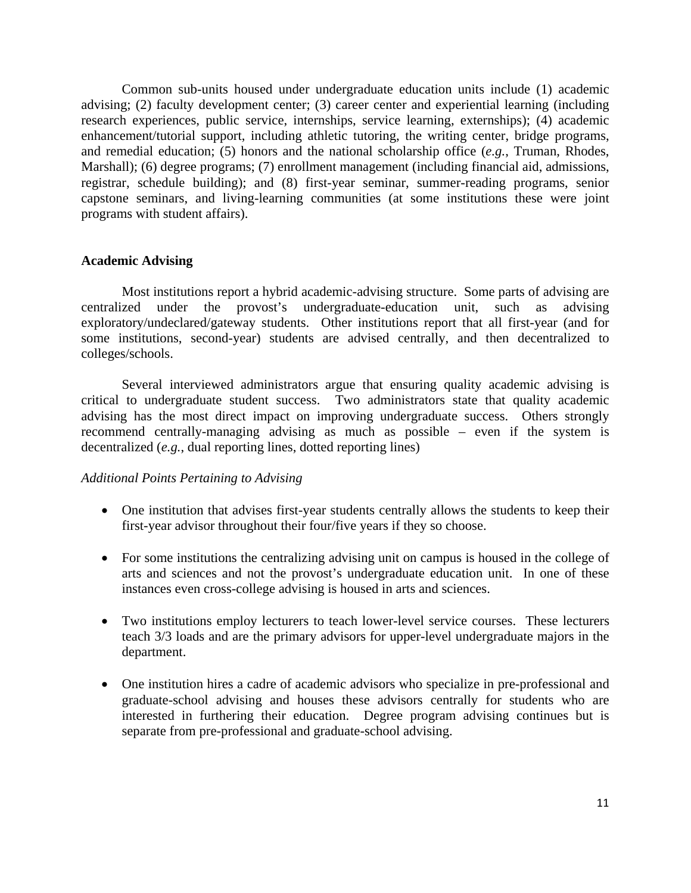Common sub-units housed under undergraduate education units include (1) academic advising; (2) faculty development center; (3) career center and experiential learning (including research experiences, public service, internships, service learning, externships); (4) academic enhancement/tutorial support, including athletic tutoring, the writing center, bridge programs, and remedial education; (5) honors and the national scholarship office (*e.g.*, Truman, Rhodes, Marshall); (6) degree programs; (7) enrollment management (including financial aid, admissions, registrar, schedule building); and (8) first-year seminar, summer-reading programs, senior capstone seminars, and living-learning communities (at some institutions these were joint programs with student affairs).

### **Academic Advising**

Most institutions report a hybrid academic-advising structure. Some parts of advising are centralized under the provost's undergraduate-education unit, such as advising exploratory/undeclared/gateway students. Other institutions report that all first-year (and for some institutions, second-year) students are advised centrally, and then decentralized to colleges/schools.

Several interviewed administrators argue that ensuring quality academic advising is critical to undergraduate student success. Two administrators state that quality academic advising has the most direct impact on improving undergraduate success. Others strongly recommend centrally-managing advising as much as possible – even if the system is decentralized (*e.g.*, dual reporting lines, dotted reporting lines)

# *Additional Points Pertaining to Advising*

- One institution that advises first-year students centrally allows the students to keep their first-year advisor throughout their four/five years if they so choose.
- For some institutions the centralizing advising unit on campus is housed in the college of arts and sciences and not the provost's undergraduate education unit. In one of these instances even cross-college advising is housed in arts and sciences.
- Two institutions employ lecturers to teach lower-level service courses. These lecturers teach 3/3 loads and are the primary advisors for upper-level undergraduate majors in the department.
- One institution hires a cadre of academic advisors who specialize in pre-professional and graduate-school advising and houses these advisors centrally for students who are interested in furthering their education. Degree program advising continues but is separate from pre-professional and graduate-school advising.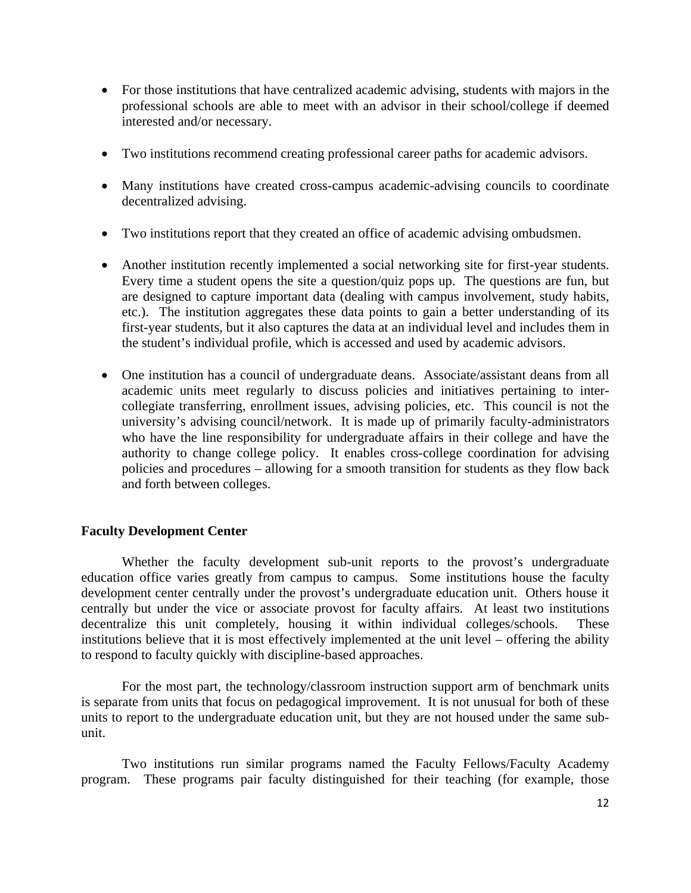- For those institutions that have centralized academic advising, students with majors in the professional schools are able to meet with an advisor in their school/college if deemed interested and/or necessary.
- Two institutions recommend creating professional career paths for academic advisors.
- Many institutions have created cross-campus academic-advising councils to coordinate decentralized advising.
- Two institutions report that they created an office of academic advising ombudsmen.
- Another institution recently implemented a social networking site for first-year students. Every time a student opens the site a question/quiz pops up. The questions are fun, but are designed to capture important data (dealing with campus involvement, study habits, etc.). The institution aggregates these data points to gain a better understanding of its first-year students, but it also captures the data at an individual level and includes them in the student's individual profile, which is accessed and used by academic advisors.
- One institution has a council of undergraduate deans. Associate/assistant deans from all academic units meet regularly to discuss policies and initiatives pertaining to intercollegiate transferring, enrollment issues, advising policies, etc. This council is not the university's advising council/network. It is made up of primarily faculty-administrators who have the line responsibility for undergraduate affairs in their college and have the authority to change college policy. It enables cross-college coordination for advising policies and procedures – allowing for a smooth transition for students as they flow back and forth between colleges.

# **Faculty Development Center**

Whether the faculty development sub-unit reports to the provost's undergraduate education office varies greatly from campus to campus. Some institutions house the faculty development center centrally under the provost's undergraduate education unit. Others house it centrally but under the vice or associate provost for faculty affairs. At least two institutions decentralize this unit completely, housing it within individual colleges/schools. These institutions believe that it is most effectively implemented at the unit level – offering the ability to respond to faculty quickly with discipline-based approaches.

For the most part, the technology/classroom instruction support arm of benchmark units is separate from units that focus on pedagogical improvement. It is not unusual for both of these units to report to the undergraduate education unit, but they are not housed under the same subunit.

Two institutions run similar programs named the Faculty Fellows/Faculty Academy program. These programs pair faculty distinguished for their teaching (for example, those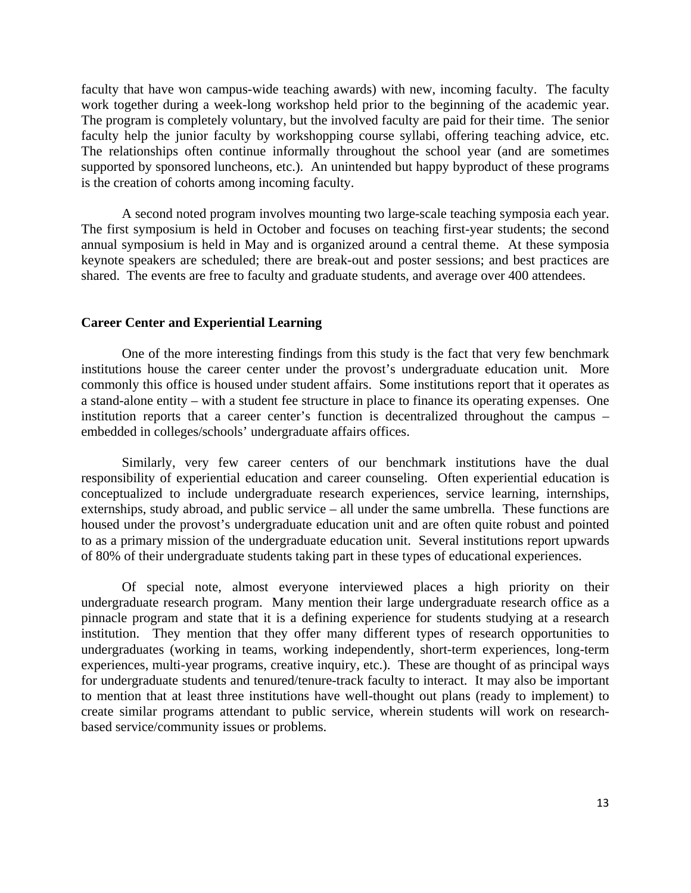faculty that have won campus-wide teaching awards) with new, incoming faculty. The faculty work together during a week-long workshop held prior to the beginning of the academic year. The program is completely voluntary, but the involved faculty are paid for their time. The senior faculty help the junior faculty by workshopping course syllabi, offering teaching advice, etc. The relationships often continue informally throughout the school year (and are sometimes supported by sponsored luncheons, etc.). An unintended but happy byproduct of these programs is the creation of cohorts among incoming faculty.

A second noted program involves mounting two large-scale teaching symposia each year. The first symposium is held in October and focuses on teaching first-year students; the second annual symposium is held in May and is organized around a central theme. At these symposia keynote speakers are scheduled; there are break-out and poster sessions; and best practices are shared. The events are free to faculty and graduate students, and average over 400 attendees.

### **Career Center and Experiential Learning**

One of the more interesting findings from this study is the fact that very few benchmark institutions house the career center under the provost's undergraduate education unit. More commonly this office is housed under student affairs. Some institutions report that it operates as a stand-alone entity – with a student fee structure in place to finance its operating expenses. One institution reports that a career center's function is decentralized throughout the campus – embedded in colleges/schools' undergraduate affairs offices.

Similarly, very few career centers of our benchmark institutions have the dual responsibility of experiential education and career counseling. Often experiential education is conceptualized to include undergraduate research experiences, service learning, internships, externships, study abroad, and public service – all under the same umbrella. These functions are housed under the provost's undergraduate education unit and are often quite robust and pointed to as a primary mission of the undergraduate education unit. Several institutions report upwards of 80% of their undergraduate students taking part in these types of educational experiences.

Of special note, almost everyone interviewed places a high priority on their undergraduate research program. Many mention their large undergraduate research office as a pinnacle program and state that it is a defining experience for students studying at a research institution. They mention that they offer many different types of research opportunities to undergraduates (working in teams, working independently, short-term experiences, long-term experiences, multi-year programs, creative inquiry, etc.). These are thought of as principal ways for undergraduate students and tenured/tenure-track faculty to interact. It may also be important to mention that at least three institutions have well-thought out plans (ready to implement) to create similar programs attendant to public service, wherein students will work on researchbased service/community issues or problems.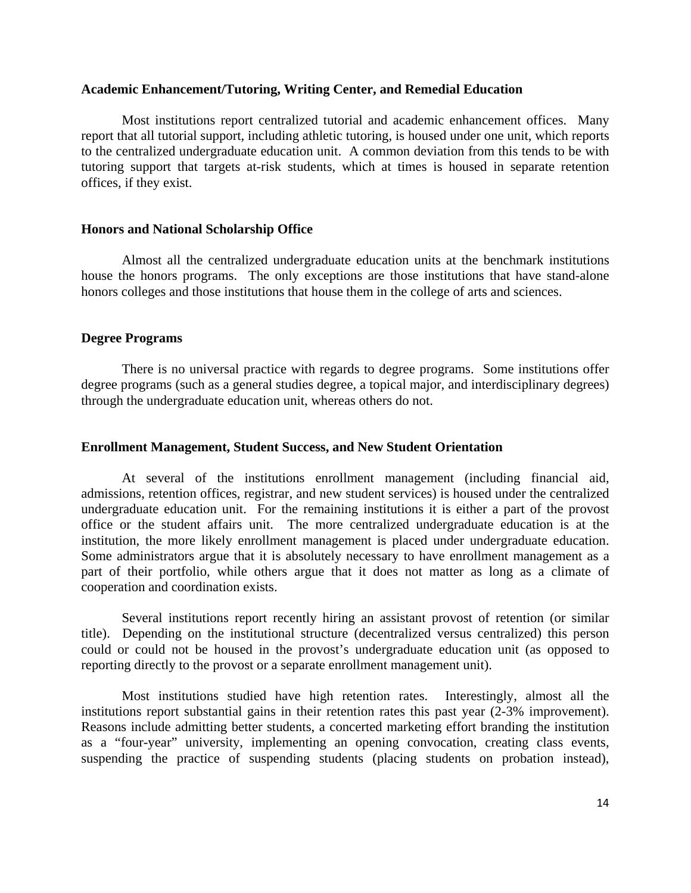### **Academic Enhancement/Tutoring, Writing Center, and Remedial Education**

Most institutions report centralized tutorial and academic enhancement offices. Many report that all tutorial support, including athletic tutoring, is housed under one unit, which reports to the centralized undergraduate education unit. A common deviation from this tends to be with tutoring support that targets at-risk students, which at times is housed in separate retention offices, if they exist.

### **Honors and National Scholarship Office**

Almost all the centralized undergraduate education units at the benchmark institutions house the honors programs. The only exceptions are those institutions that have stand-alone honors colleges and those institutions that house them in the college of arts and sciences.

### **Degree Programs**

There is no universal practice with regards to degree programs. Some institutions offer degree programs (such as a general studies degree, a topical major, and interdisciplinary degrees) through the undergraduate education unit, whereas others do not.

#### **Enrollment Management, Student Success, and New Student Orientation**

At several of the institutions enrollment management (including financial aid, admissions, retention offices, registrar, and new student services) is housed under the centralized undergraduate education unit. For the remaining institutions it is either a part of the provost office or the student affairs unit. The more centralized undergraduate education is at the institution, the more likely enrollment management is placed under undergraduate education. Some administrators argue that it is absolutely necessary to have enrollment management as a part of their portfolio, while others argue that it does not matter as long as a climate of cooperation and coordination exists.

Several institutions report recently hiring an assistant provost of retention (or similar title). Depending on the institutional structure (decentralized versus centralized) this person could or could not be housed in the provost's undergraduate education unit (as opposed to reporting directly to the provost or a separate enrollment management unit).

Most institutions studied have high retention rates. Interestingly, almost all the institutions report substantial gains in their retention rates this past year (2-3% improvement). Reasons include admitting better students, a concerted marketing effort branding the institution as a "four-year" university, implementing an opening convocation, creating class events, suspending the practice of suspending students (placing students on probation instead),